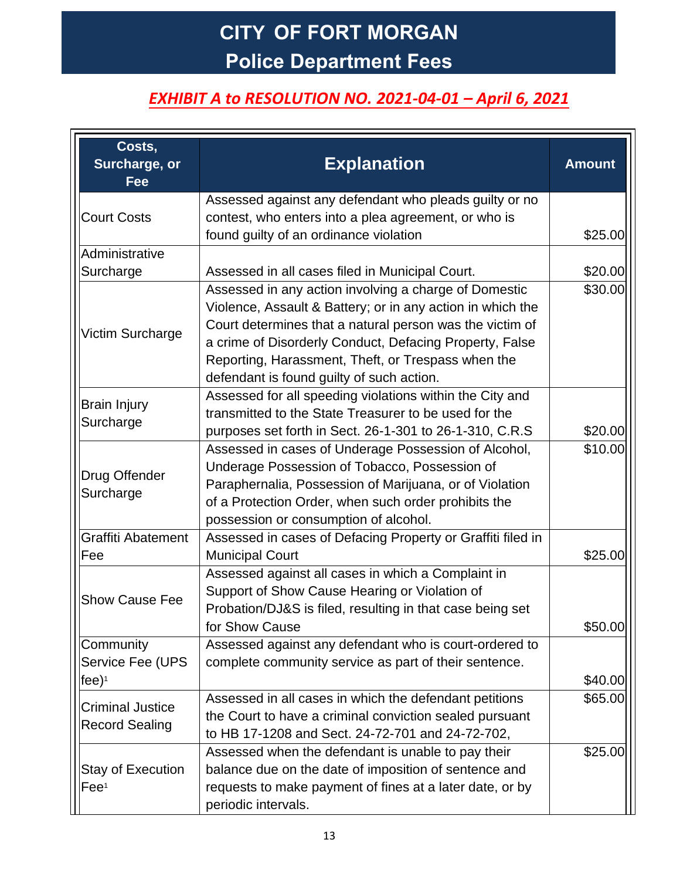# **CITY OF FORT MORGAN Police Department Fees**

### *EXHIBIT A to RESOLUTION NO. 2021-04-01 – April 6, 2021*

| Costs,<br>Surcharge, or<br>Fee                        | <b>Explanation</b>                                                                                                                                                                                                                                                                                                                            | <b>Amount</b> |
|-------------------------------------------------------|-----------------------------------------------------------------------------------------------------------------------------------------------------------------------------------------------------------------------------------------------------------------------------------------------------------------------------------------------|---------------|
| <b>Court Costs</b>                                    | Assessed against any defendant who pleads guilty or no<br>contest, who enters into a plea agreement, or who is<br>found guilty of an ordinance violation                                                                                                                                                                                      | \$25.00       |
| Administrative                                        |                                                                                                                                                                                                                                                                                                                                               |               |
| Surcharge                                             | Assessed in all cases filed in Municipal Court.                                                                                                                                                                                                                                                                                               | \$20.00       |
| Victim Surcharge                                      | Assessed in any action involving a charge of Domestic<br>Violence, Assault & Battery; or in any action in which the<br>Court determines that a natural person was the victim of<br>a crime of Disorderly Conduct, Defacing Property, False<br>Reporting, Harassment, Theft, or Trespass when the<br>defendant is found guilty of such action. | \$30.00       |
| <b>Brain Injury</b><br>Surcharge                      | Assessed for all speeding violations within the City and<br>transmitted to the State Treasurer to be used for the<br>purposes set forth in Sect. 26-1-301 to 26-1-310, C.R.S                                                                                                                                                                  | \$20.00       |
| Drug Offender<br>Surcharge                            | Assessed in cases of Underage Possession of Alcohol,<br>Underage Possession of Tobacco, Possession of<br>Paraphernalia, Possession of Marijuana, or of Violation<br>of a Protection Order, when such order prohibits the<br>possession or consumption of alcohol.                                                                             | \$10.00       |
| <b>Graffiti Abatement</b><br>Fee                      | Assessed in cases of Defacing Property or Graffiti filed in<br><b>Municipal Court</b>                                                                                                                                                                                                                                                         | \$25.00       |
| <b>Show Cause Fee</b>                                 | Assessed against all cases in which a Complaint in<br>Support of Show Cause Hearing or Violation of<br>Probation/DJ&S is filed, resulting in that case being set<br>for Show Cause                                                                                                                                                            | \$50.00       |
| Community<br>Service Fee (UPS<br>$[fee]$ <sup>1</sup> | Assessed against any defendant who is court-ordered to<br>complete community service as part of their sentence.                                                                                                                                                                                                                               | \$40.00       |
| <b>Criminal Justice</b><br><b>Record Sealing</b>      | Assessed in all cases in which the defendant petitions<br>the Court to have a criminal conviction sealed pursuant<br>to HB 17-1208 and Sect. 24-72-701 and 24-72-702,                                                                                                                                                                         | \$65.00       |
| <b>Stay of Execution</b><br>Fee <sup>1</sup>          | Assessed when the defendant is unable to pay their<br>balance due on the date of imposition of sentence and<br>requests to make payment of fines at a later date, or by<br>periodic intervals.                                                                                                                                                | \$25.00       |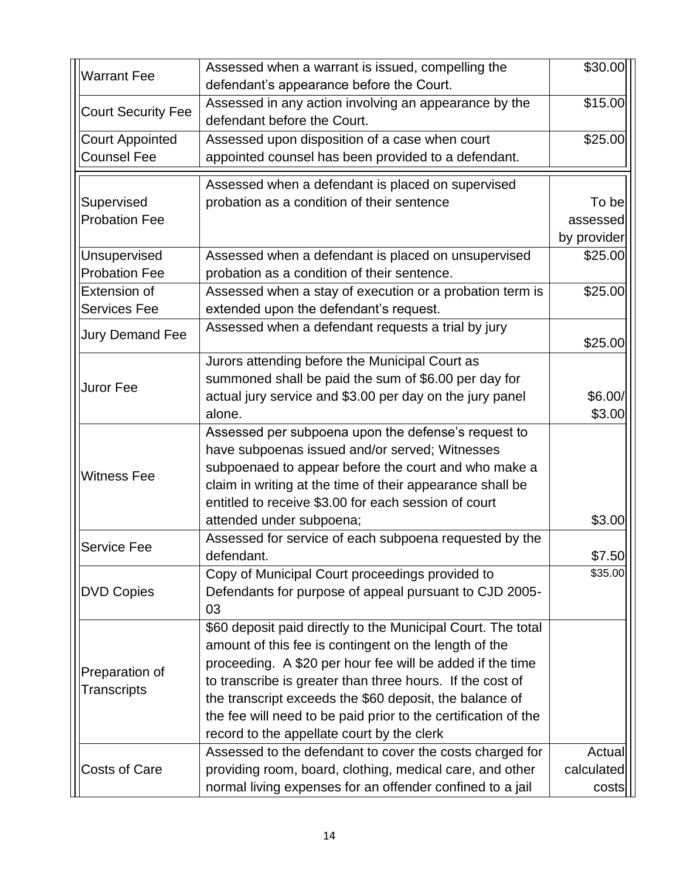| <b>Warrant Fee</b>                           | Assessed when a warrant is issued, compelling the<br>defendant's appearance before the Court.         | \$30.00     |
|----------------------------------------------|-------------------------------------------------------------------------------------------------------|-------------|
| <b>Court Security Fee</b>                    | Assessed in any action involving an appearance by the<br>defendant before the Court.                  | \$15.00     |
| <b>Court Appointed</b><br><b>Counsel Fee</b> | Assessed upon disposition of a case when court<br>appointed counsel has been provided to a defendant. | \$25.00     |
|                                              | Assessed when a defendant is placed on supervised                                                     |             |
| Supervised                                   | probation as a condition of their sentence                                                            | To be       |
| <b>Probation Fee</b>                         |                                                                                                       | assessed    |
|                                              |                                                                                                       | by provider |
| Unsupervised                                 | Assessed when a defendant is placed on unsupervised                                                   | \$25.00     |
| <b>Probation Fee</b>                         | probation as a condition of their sentence.                                                           |             |
| <b>Extension of</b>                          | Assessed when a stay of execution or a probation term is                                              | \$25.00     |
| <b>Services Fee</b>                          | extended upon the defendant's request.                                                                |             |
| <b>Jury Demand Fee</b>                       | Assessed when a defendant requests a trial by jury                                                    |             |
|                                              |                                                                                                       | \$25.00     |
|                                              | Jurors attending before the Municipal Court as                                                        |             |
| Juror Fee                                    | summoned shall be paid the sum of \$6.00 per day for                                                  |             |
|                                              | actual jury service and \$3.00 per day on the jury panel                                              | \$6.00/     |
|                                              | alone.                                                                                                | \$3.00      |
|                                              | Assessed per subpoena upon the defense's request to                                                   |             |
|                                              | have subpoenas issued and/or served; Witnesses                                                        |             |
| <b>Witness Fee</b>                           | subpoenaed to appear before the court and who make a                                                  |             |
|                                              | claim in writing at the time of their appearance shall be                                             |             |
|                                              | entitled to receive \$3.00 for each session of court                                                  |             |
|                                              | attended under subpoena;                                                                              | \$3.00      |
| <b>Service Fee</b>                           | Assessed for service of each subpoena requested by the                                                |             |
|                                              | defendant.                                                                                            | \$7.50      |
|                                              | Copy of Municipal Court proceedings provided to                                                       | \$35.00     |
| <b>DVD Copies</b>                            | Defendants for purpose of appeal pursuant to CJD 2005-                                                |             |
|                                              | 03                                                                                                    |             |
|                                              | \$60 deposit paid directly to the Municipal Court. The total                                          |             |
|                                              | amount of this fee is contingent on the length of the                                                 |             |
| Preparation of                               | proceeding. A \$20 per hour fee will be added if the time                                             |             |
| Transcripts                                  | to transcribe is greater than three hours. If the cost of                                             |             |
|                                              | the transcript exceeds the \$60 deposit, the balance of                                               |             |
|                                              | the fee will need to be paid prior to the certification of the                                        |             |
|                                              | record to the appellate court by the clerk                                                            |             |
|                                              | Assessed to the defendant to cover the costs charged for                                              | Actual      |
| <b>Costs of Care</b>                         | providing room, board, clothing, medical care, and other                                              | calculated  |
|                                              | normal living expenses for an offender confined to a jail                                             | costs       |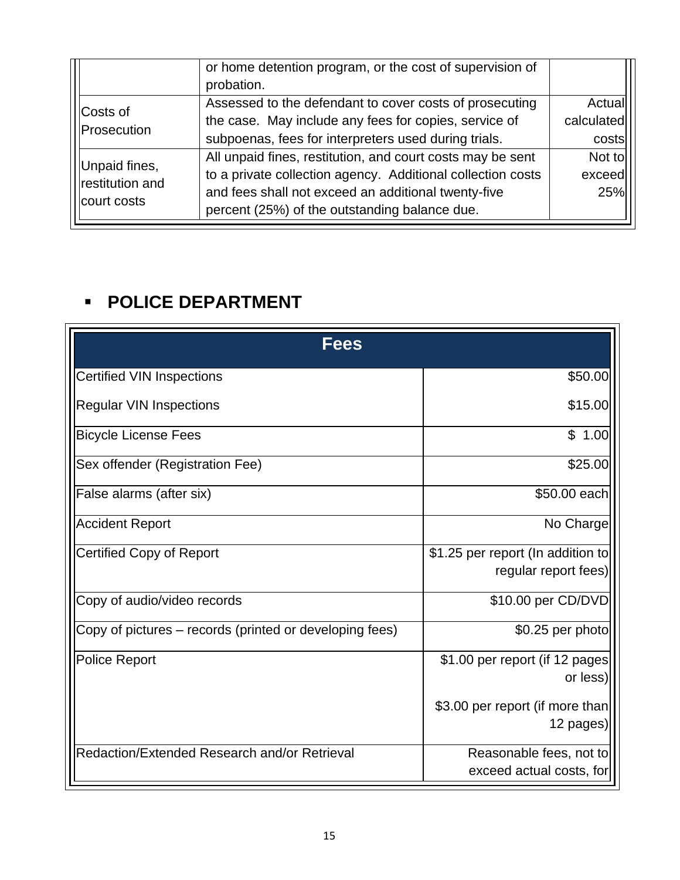|                 | or home detention program, or the cost of supervision of<br>probation. |            |
|-----------------|------------------------------------------------------------------------|------------|
|                 |                                                                        |            |
| Costs of        | Assessed to the defendant to cover costs of prosecuting                | Actual     |
| Prosecution     | the case. May include any fees for copies, service of                  | calculated |
|                 | subpoenas, fees for interpreters used during trials.                   | costs      |
| Unpaid fines,   | All unpaid fines, restitution, and court costs may be sent             | Not to     |
| restitution and | to a private collection agency. Additional collection costs            | exceed     |
|                 | and fees shall not exceed an additional twenty-five                    | 25%        |
| court costs     | percent (25%) of the outstanding balance due.                          |            |

## ▪ **POLICE DEPARTMENT**

| <b>Fees</b>                                             |                                   |
|---------------------------------------------------------|-----------------------------------|
| <b>Certified VIN Inspections</b>                        | \$50.00                           |
| <b>Regular VIN Inspections</b>                          | \$15.00                           |
| <b>Bicycle License Fees</b>                             | \$1.00                            |
| Sex offender (Registration Fee)                         | \$25.00                           |
| False alarms (after six)                                | \$50.00 each                      |
| <b>Accident Report</b>                                  | No Charge                         |
| <b>Certified Copy of Report</b>                         | \$1.25 per report (In addition to |
|                                                         | regular report fees)              |
| Copy of audio/video records                             | \$10.00 per CD/DVD                |
| Copy of pictures – records (printed or developing fees) | \$0.25 per photo                  |
| <b>Police Report</b>                                    | \$1.00 per report (if 12 pages)   |
|                                                         | or less)                          |
|                                                         | \$3.00 per report (if more than   |
|                                                         | 12 pages)                         |
| Redaction/Extended Research and/or Retrieval            | Reasonable fees, not to           |
|                                                         | exceed actual costs, for          |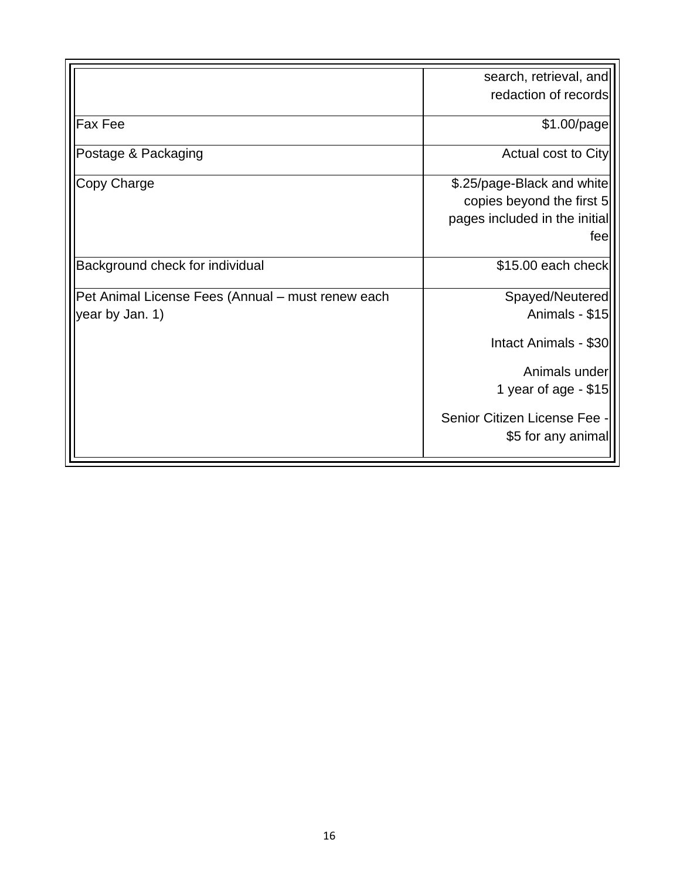|                                                   | search, retrieval, and        |
|---------------------------------------------------|-------------------------------|
|                                                   | redaction of records          |
| <b>Fax Fee</b>                                    | $$1.00$ /page                 |
| Postage & Packaging                               | Actual cost to City           |
| Copy Charge                                       | \$.25/page-Black and white    |
|                                                   | copies beyond the first 5     |
|                                                   | pages included in the initial |
|                                                   | feel                          |
| Background check for individual                   | \$15.00 each check            |
| Pet Animal License Fees (Annual - must renew each | Spayed/Neutered               |
| year by Jan. 1)                                   | Animals - \$15                |
|                                                   | Intact Animals - \$30         |
|                                                   | Animals under                 |
|                                                   | 1 year of age - \$15          |
|                                                   | Senior Citizen License Fee -  |
|                                                   | \$5 for any animal            |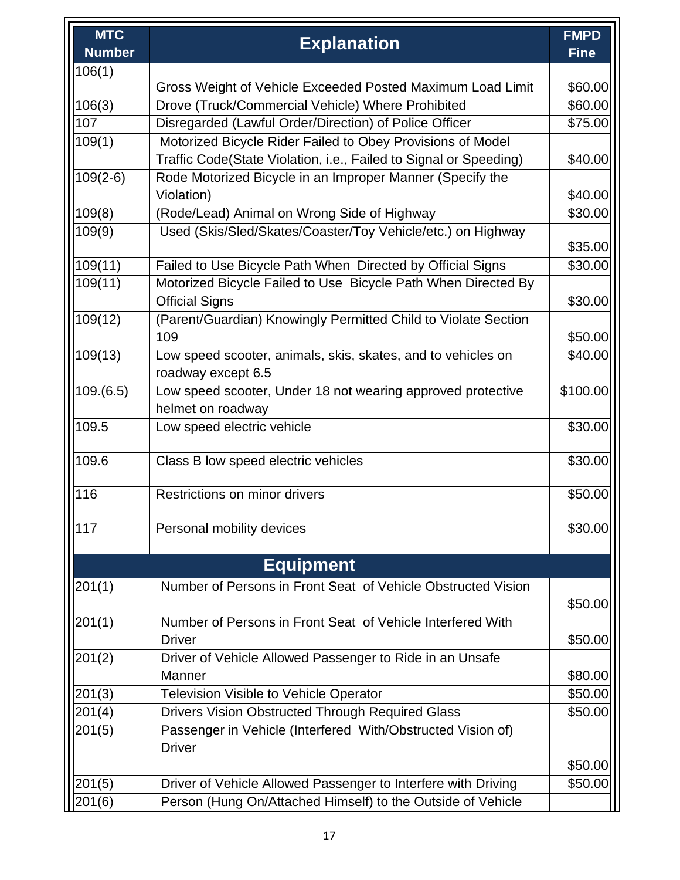| <b>MTC</b>    |                                                                   | <b>FMPD</b> |
|---------------|-------------------------------------------------------------------|-------------|
| <b>Number</b> | <b>Explanation</b>                                                | <b>Fine</b> |
| 106(1)        |                                                                   |             |
|               | Gross Weight of Vehicle Exceeded Posted Maximum Load Limit        | \$60.00     |
| 106(3)        | Drove (Truck/Commercial Vehicle) Where Prohibited                 | \$60.00     |
| 107           | Disregarded (Lawful Order/Direction) of Police Officer            | \$75.00     |
| 109(1)        | Motorized Bicycle Rider Failed to Obey Provisions of Model        |             |
|               | Traffic Code(State Violation, i.e., Failed to Signal or Speeding) | \$40.00     |
| $109(2-6)$    | Rode Motorized Bicycle in an Improper Manner (Specify the         |             |
|               | Violation)                                                        | \$40.00     |
| 109(8)        | (Rode/Lead) Animal on Wrong Side of Highway                       | \$30.00     |
| 109(9)        | Used (Skis/Sled/Skates/Coaster/Toy Vehicle/etc.) on Highway       |             |
|               |                                                                   | \$35.00     |
| 109(11)       | Failed to Use Bicycle Path When Directed by Official Signs        | \$30.00     |
| 109(11)       | Motorized Bicycle Failed to Use Bicycle Path When Directed By     |             |
|               | <b>Official Signs</b>                                             | \$30.00     |
| 109(12)       | (Parent/Guardian) Knowingly Permitted Child to Violate Section    |             |
|               | 109                                                               | \$50.00     |
| 109(13)       | Low speed scooter, animals, skis, skates, and to vehicles on      | \$40.00     |
|               | roadway except 6.5                                                |             |
| 109.(6.5)     | Low speed scooter, Under 18 not wearing approved protective       | \$100.00    |
|               | helmet on roadway                                                 |             |
| 109.5         | Low speed electric vehicle                                        | \$30.00     |
| 109.6         | Class B low speed electric vehicles                               | \$30.00     |
|               |                                                                   |             |
| 116           | Restrictions on minor drivers                                     | \$50.00     |
|               |                                                                   |             |
| 117           | Personal mobility devices                                         | \$30.00     |
|               | <b>Equipment</b>                                                  |             |
|               |                                                                   |             |
| 201(1)        | Number of Persons in Front Seat of Vehicle Obstructed Vision      |             |
|               |                                                                   | \$50.00     |
| 201(1)        | Number of Persons in Front Seat of Vehicle Interfered With        |             |
|               | <b>Driver</b>                                                     | \$50.00     |
| 201(2)        | Driver of Vehicle Allowed Passenger to Ride in an Unsafe          |             |
|               | Manner                                                            | \$80.00     |
| 201(3)        | <b>Television Visible to Vehicle Operator</b>                     | \$50.00     |
| 201(4)        | Drivers Vision Obstructed Through Required Glass                  | \$50.00     |
| 201(5)        | Passenger in Vehicle (Interfered With/Obstructed Vision of)       |             |
|               | <b>Driver</b>                                                     |             |
|               |                                                                   | \$50.00     |
| 201(5)        | Driver of Vehicle Allowed Passenger to Interfere with Driving     | \$50.00     |
| 201(6)        | Person (Hung On/Attached Himself) to the Outside of Vehicle       |             |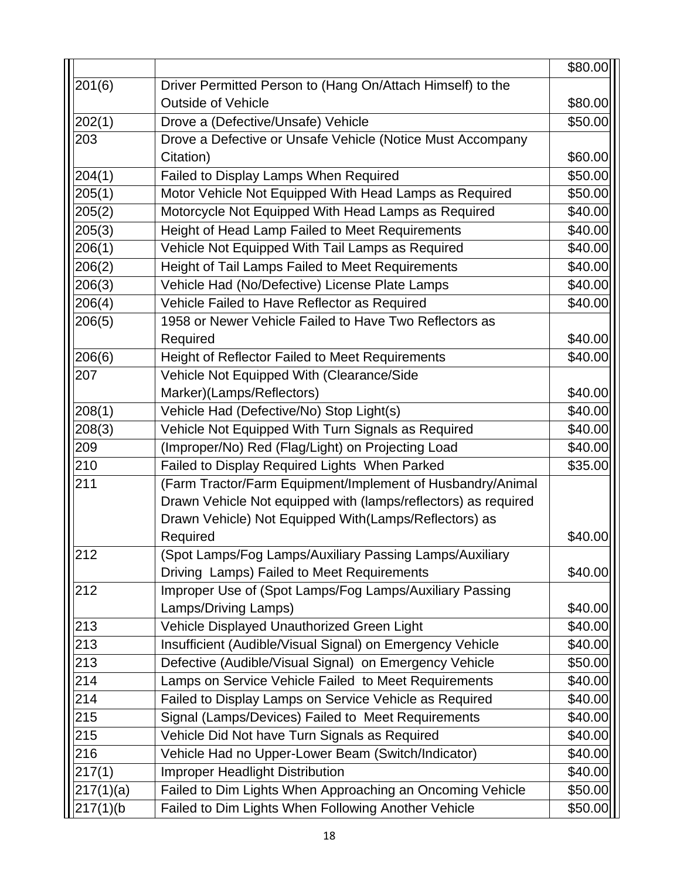|             |                                                                | \$80.00 |
|-------------|----------------------------------------------------------------|---------|
| 201(6)      | Driver Permitted Person to (Hang On/Attach Himself) to the     |         |
|             | <b>Outside of Vehicle</b>                                      | \$80.00 |
| 202(1)      | Drove a (Defective/Unsafe) Vehicle                             | \$50.00 |
| 203         | Drove a Defective or Unsafe Vehicle (Notice Must Accompany     |         |
|             | Citation)                                                      | \$60.00 |
| 204(1)      | Failed to Display Lamps When Required                          | \$50.00 |
| 205(1)      | Motor Vehicle Not Equipped With Head Lamps as Required         | \$50.00 |
| 205(2)      | Motorcycle Not Equipped With Head Lamps as Required            | \$40.00 |
| 205(3)      | Height of Head Lamp Failed to Meet Requirements                | \$40.00 |
| 206(1)      | Vehicle Not Equipped With Tail Lamps as Required               | \$40.00 |
| 206(2)      | Height of Tail Lamps Failed to Meet Requirements               | \$40.00 |
| 206(3)      | Vehicle Had (No/Defective) License Plate Lamps                 | \$40.00 |
| 206(4)      | Vehicle Failed to Have Reflector as Required                   | \$40.00 |
| 206(5)      | 1958 or Newer Vehicle Failed to Have Two Reflectors as         |         |
|             | Required                                                       | \$40.00 |
| 206(6)      | Height of Reflector Failed to Meet Requirements                | \$40.00 |
| 207         | Vehicle Not Equipped With (Clearance/Side                      |         |
|             | Marker)(Lamps/Reflectors)                                      | \$40.00 |
| 208(1)      | Vehicle Had (Defective/No) Stop Light(s)                       | \$40.00 |
| 208(3)      | Vehicle Not Equipped With Turn Signals as Required             | \$40.00 |
| 209         | (Improper/No) Red (Flag/Light) on Projecting Load              | \$40.00 |
| 210         | Failed to Display Required Lights When Parked                  | \$35.00 |
| 211         | (Farm Tractor/Farm Equipment/Implement of Husbandry/Animal     |         |
|             | Drawn Vehicle Not equipped with (lamps/reflectors) as required |         |
|             | Drawn Vehicle) Not Equipped With(Lamps/Reflectors) as          |         |
|             | Required                                                       | \$40.00 |
| 212         | (Spot Lamps/Fog Lamps/Auxiliary Passing Lamps/Auxiliary        |         |
|             | Driving Lamps) Failed to Meet Requirements                     | \$40.00 |
| 212         | Improper Use of (Spot Lamps/Fog Lamps/Auxiliary Passing        |         |
|             | Lamps/Driving Lamps)                                           | \$40.00 |
| 213         | Vehicle Displayed Unauthorized Green Light                     | \$40.00 |
| 213         | Insufficient (Audible/Visual Signal) on Emergency Vehicle      | \$40.00 |
| 213         | Defective (Audible/Visual Signal) on Emergency Vehicle         | \$50.00 |
| 214         | Lamps on Service Vehicle Failed to Meet Requirements           | \$40.00 |
| 214         | Failed to Display Lamps on Service Vehicle as Required         | \$40.00 |
| 215         | Signal (Lamps/Devices) Failed to Meet Requirements             | \$40.00 |
| 215         | Vehicle Did Not have Turn Signals as Required                  | \$40.00 |
| 216         | Vehicle Had no Upper-Lower Beam (Switch/Indicator)             | \$40.00 |
| 217(1)      | <b>Improper Headlight Distribution</b>                         | \$40.00 |
| 217(1)(a)   | Failed to Dim Lights When Approaching an Oncoming Vehicle      | \$50.00 |
| $217(1)$ (b | Failed to Dim Lights When Following Another Vehicle            | \$50.00 |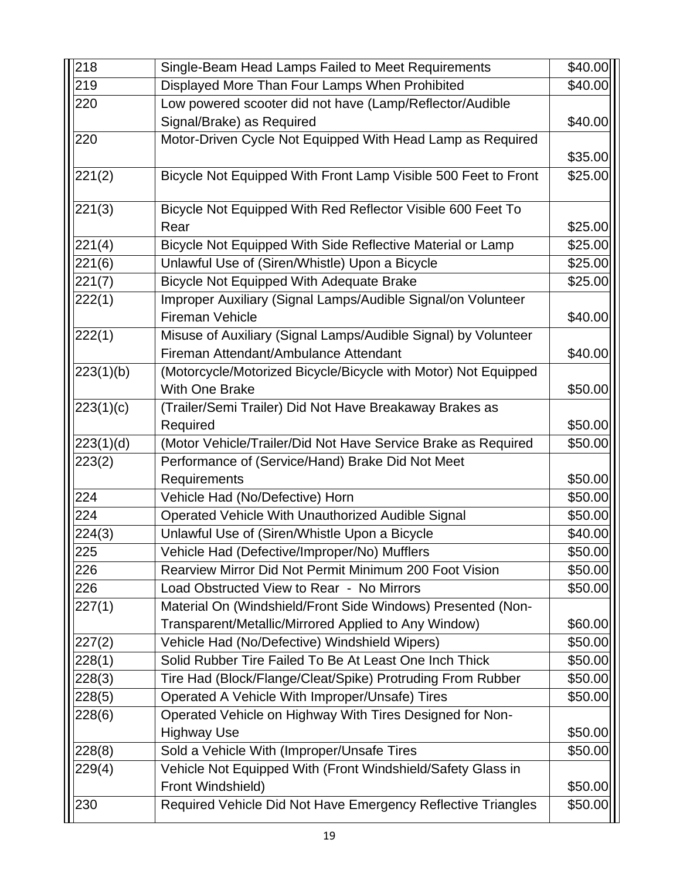| 218             | Single-Beam Head Lamps Failed to Meet Requirements                                     | \$40.00 |
|-----------------|----------------------------------------------------------------------------------------|---------|
| 219             | Displayed More Than Four Lamps When Prohibited                                         | \$40.00 |
| 220             | Low powered scooter did not have (Lamp/Reflector/Audible                               |         |
|                 | Signal/Brake) as Required                                                              | \$40.00 |
| 220             | Motor-Driven Cycle Not Equipped With Head Lamp as Required                             |         |
|                 |                                                                                        | \$35.00 |
| 221(2)          | Bicycle Not Equipped With Front Lamp Visible 500 Feet to Front                         | \$25.00 |
| 221(3)          | Bicycle Not Equipped With Red Reflector Visible 600 Feet To                            |         |
|                 | Rear                                                                                   | \$25.00 |
| 221(4)          | Bicycle Not Equipped With Side Reflective Material or Lamp                             | \$25.00 |
| $\sqrt{221(6)}$ | Unlawful Use of (Siren/Whistle) Upon a Bicycle                                         | \$25.00 |
| 221(7)          | <b>Bicycle Not Equipped With Adequate Brake</b>                                        | \$25.00 |
| 222(1)          | Improper Auxiliary (Signal Lamps/Audible Signal/on Volunteer<br><b>Fireman Vehicle</b> | \$40.00 |
| 222(1)          | Misuse of Auxiliary (Signal Lamps/Audible Signal) by Volunteer                         |         |
|                 | Fireman Attendant/Ambulance Attendant                                                  | \$40.00 |
| 223(1)(b)       | (Motorcycle/Motorized Bicycle/Bicycle with Motor) Not Equipped                         |         |
|                 | <b>With One Brake</b>                                                                  | \$50.00 |
| 223(1)(c)       | (Trailer/Semi Trailer) Did Not Have Breakaway Brakes as                                |         |
|                 | Required                                                                               | \$50.00 |
| 223(1)(d)       | (Motor Vehicle/Trailer/Did Not Have Service Brake as Required                          | \$50.00 |
| 223(2)          | Performance of (Service/Hand) Brake Did Not Meet                                       |         |
|                 | Requirements                                                                           | \$50.00 |
| 224             | Vehicle Had (No/Defective) Horn                                                        | \$50.00 |
| 224             | Operated Vehicle With Unauthorized Audible Signal                                      | \$50.00 |
| 224(3)          | Unlawful Use of (Siren/Whistle Upon a Bicycle                                          | \$40.00 |
| 225             | Vehicle Had (Defective/Improper/No) Mufflers                                           | \$50.00 |
| 226             | Rearview Mirror Did Not Permit Minimum 200 Foot Vision                                 | \$50.00 |
| 226             | Load Obstructed View to Rear - No Mirrors                                              | \$50.00 |
| 227(1)          | Material On (Windshield/Front Side Windows) Presented (Non-                            |         |
|                 | Transparent/Metallic/Mirrored Applied to Any Window)                                   | \$60.00 |
| 227(2)          | Vehicle Had (No/Defective) Windshield Wipers)                                          | \$50.00 |
| 228(1)          | Solid Rubber Tire Failed To Be At Least One Inch Thick                                 | \$50.00 |
| 228(3)          | Tire Had (Block/Flange/Cleat/Spike) Protruding From Rubber                             | \$50.00 |
| 228(5)          | Operated A Vehicle With Improper/Unsafe) Tires                                         | \$50.00 |
| 228(6)          | Operated Vehicle on Highway With Tires Designed for Non-                               |         |
|                 | <b>Highway Use</b>                                                                     | \$50.00 |
| 228(8)          | Sold a Vehicle With (Improper/Unsafe Tires                                             | \$50.00 |
| 229(4)          | Vehicle Not Equipped With (Front Windshield/Safety Glass in                            |         |
|                 | Front Windshield)                                                                      | \$50.00 |
| 230             | Required Vehicle Did Not Have Emergency Reflective Triangles                           | \$50.00 |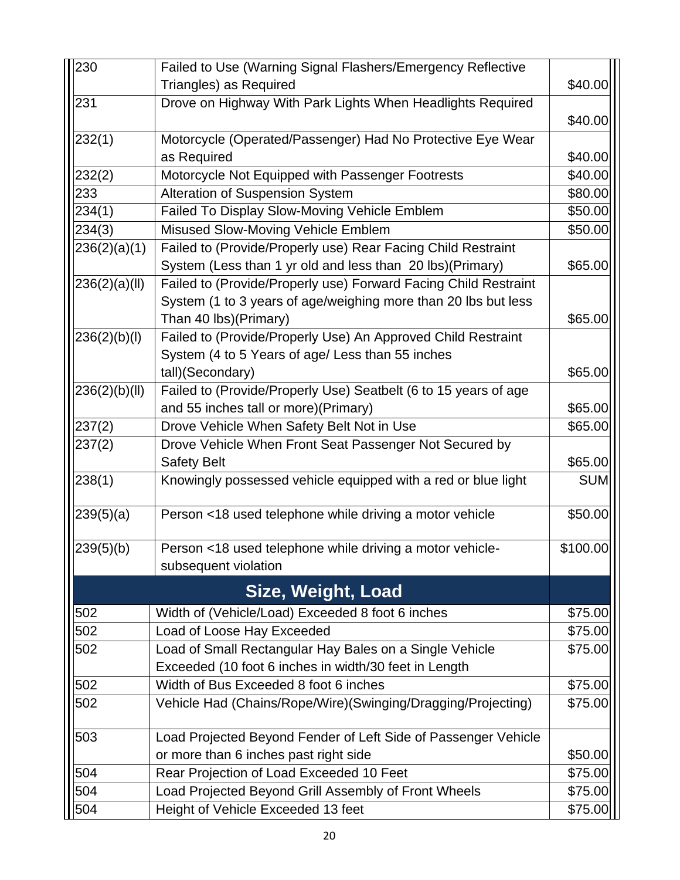| 230           | Failed to Use (Warning Signal Flashers/Emergency Reflective     |            |
|---------------|-----------------------------------------------------------------|------------|
|               | Triangles) as Required                                          | \$40.00    |
| 231           | Drove on Highway With Park Lights When Headlights Required      |            |
|               |                                                                 | \$40.00    |
| 232(1)        | Motorcycle (Operated/Passenger) Had No Protective Eye Wear      |            |
|               | as Required                                                     | \$40.00    |
| 232(2)        | Motorcycle Not Equipped with Passenger Footrests                | \$40.00    |
| 233           | Alteration of Suspension System                                 | \$80.00    |
| 234(1)        | Failed To Display Slow-Moving Vehicle Emblem                    | \$50.00    |
| 234(3)        | Misused Slow-Moving Vehicle Emblem                              | \$50.00    |
| 236(2)(a)(1)  | Failed to (Provide/Properly use) Rear Facing Child Restraint    |            |
|               | System (Less than 1 yr old and less than 20 lbs)(Primary)       | \$65.00    |
| 236(2)(a)(II) | Failed to (Provide/Properly use) Forward Facing Child Restraint |            |
|               | System (1 to 3 years of age/weighing more than 20 lbs but less  |            |
|               | Than 40 lbs)(Primary)                                           | \$65.00    |
| 236(2)(b)(l)  | Failed to (Provide/Properly Use) An Approved Child Restraint    |            |
|               | System (4 to 5 Years of age/ Less than 55 inches                |            |
|               | tall)(Secondary)                                                | \$65.00    |
| 236(2)(b)(II) | Failed to (Provide/Properly Use) Seatbelt (6 to 15 years of age |            |
|               | and 55 inches tall or more)(Primary)                            | \$65.00    |
| 237(2)        | Drove Vehicle When Safety Belt Not in Use                       | \$65.00    |
| 237(2)        | Drove Vehicle When Front Seat Passenger Not Secured by          |            |
|               | <b>Safety Belt</b>                                              | \$65.00    |
| 238(1)        | Knowingly possessed vehicle equipped with a red or blue light   | <b>SUM</b> |
| 239(5)(a)     | Person <18 used telephone while driving a motor vehicle         | \$50.00    |
| 239(5)(b)     | Person <18 used telephone while driving a motor vehicle-        | \$100.00   |
|               | subsequent violation                                            |            |
|               | Size, Weight, Load                                              |            |
| 502           | Width of (Vehicle/Load) Exceeded 8 foot 6 inches                | \$75.00    |
| 502           | Load of Loose Hay Exceeded                                      | \$75.00    |
| 502           | Load of Small Rectangular Hay Bales on a Single Vehicle         | \$75.00    |
|               | Exceeded (10 foot 6 inches in width/30 feet in Length           |            |
| 502           | Width of Bus Exceeded 8 foot 6 inches                           | \$75.00    |
| 502           | Vehicle Had (Chains/Rope/Wire)(Swinging/Dragging/Projecting)    | \$75.00    |
| 503           | Load Projected Beyond Fender of Left Side of Passenger Vehicle  |            |
|               | or more than 6 inches past right side                           | \$50.00    |
| 504           | Rear Projection of Load Exceeded 10 Feet                        | \$75.00    |
| 504           | Load Projected Beyond Grill Assembly of Front Wheels            | \$75.00    |
| 504           | Height of Vehicle Exceeded 13 feet                              | \$75.00    |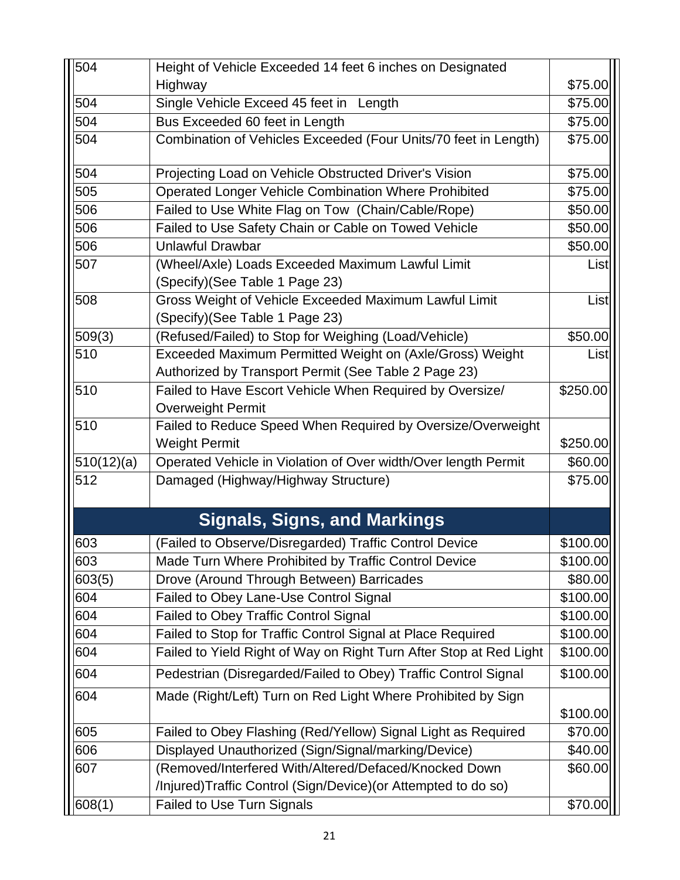| 504        | Height of Vehicle Exceeded 14 feet 6 inches on Designated                                |          |
|------------|------------------------------------------------------------------------------------------|----------|
|            | Highway                                                                                  | \$75.00  |
| 504        | Single Vehicle Exceed 45 feet in Length                                                  | \$75.00  |
| 504        | Bus Exceeded 60 feet in Length                                                           | \$75.00  |
| 504        | Combination of Vehicles Exceeded (Four Units/70 feet in Length)                          | \$75.00  |
| 504        | Projecting Load on Vehicle Obstructed Driver's Vision                                    | \$75.00  |
| 505        | <b>Operated Longer Vehicle Combination Where Prohibited</b>                              | \$75.00  |
| 506        | Failed to Use White Flag on Tow (Chain/Cable/Rope)                                       | \$50.00  |
| 506        | Failed to Use Safety Chain or Cable on Towed Vehicle                                     | \$50.00  |
| 506        | <b>Unlawful Drawbar</b>                                                                  | \$50.00  |
| 507        | (Wheel/Axle) Loads Exceeded Maximum Lawful Limit<br>(Specify) (See Table 1 Page 23)      | List     |
| 508        | Gross Weight of Vehicle Exceeded Maximum Lawful Limit<br>(Specify) (See Table 1 Page 23) | List     |
| 509(3)     | (Refused/Failed) to Stop for Weighing (Load/Vehicle)                                     | \$50.00  |
| 510        | Exceeded Maximum Permitted Weight on (Axle/Gross) Weight                                 | List     |
|            | Authorized by Transport Permit (See Table 2 Page 23)                                     |          |
| 510        | Failed to Have Escort Vehicle When Required by Oversize/<br><b>Overweight Permit</b>     | \$250.00 |
| 510        | Failed to Reduce Speed When Required by Oversize/Overweight                              |          |
|            | <b>Weight Permit</b>                                                                     | \$250.00 |
| 510(12)(a) | Operated Vehicle in Violation of Over width/Over length Permit                           | \$60.00  |
| 512        | Damaged (Highway/Highway Structure)                                                      | \$75.00  |
|            | <b>Signals, Signs, and Markings</b>                                                      |          |
| 603        | (Failed to Observe/Disregarded) Traffic Control Device                                   | \$100.00 |
| 603        | Made Turn Where Prohibited by Traffic Control Device                                     | \$100.00 |
| 603(5)     | Drove (Around Through Between) Barricades                                                | \$80.00  |
| 604        | Failed to Obey Lane-Use Control Signal                                                   | \$100.00 |
| 604        | Failed to Obey Traffic Control Signal                                                    | \$100.00 |
| 604        | Failed to Stop for Traffic Control Signal at Place Required                              | \$100.00 |
| 604        | Failed to Yield Right of Way on Right Turn After Stop at Red Light                       | \$100.00 |
| 604        | Pedestrian (Disregarded/Failed to Obey) Traffic Control Signal                           | \$100.00 |
| 604        | Made (Right/Left) Turn on Red Light Where Prohibited by Sign                             | \$100.00 |
| 605        | Failed to Obey Flashing (Red/Yellow) Signal Light as Required                            | \$70.00  |
| 606        | Displayed Unauthorized (Sign/Signal/marking/Device)                                      | \$40.00  |
| 607        | (Removed/Interfered With/Altered/Defaced/Knocked Down                                    | \$60.00  |
|            | /Injured)Traffic Control (Sign/Device) (or Attempted to do so)                           |          |
| 608(1)     | <b>Failed to Use Turn Signals</b>                                                        | \$70.00  |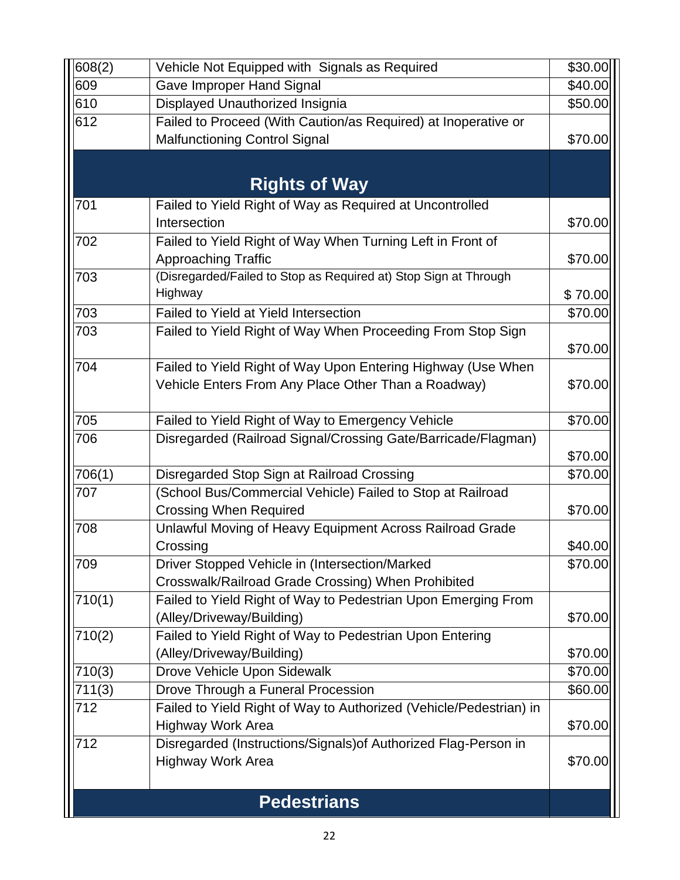| 608(2) | Vehicle Not Equipped with Signals as Required                      | \$30.00 |
|--------|--------------------------------------------------------------------|---------|
| 609    | <b>Gave Improper Hand Signal</b>                                   | \$40.00 |
| 610    | Displayed Unauthorized Insignia                                    | \$50.00 |
| 612    | Failed to Proceed (With Caution/as Required) at Inoperative or     |         |
|        | <b>Malfunctioning Control Signal</b>                               | \$70.00 |
|        |                                                                    |         |
|        | <b>Rights of Way</b>                                               |         |
| 701    | Failed to Yield Right of Way as Required at Uncontrolled           |         |
|        | Intersection                                                       | \$70.00 |
| 702    | Failed to Yield Right of Way When Turning Left in Front of         |         |
|        | Approaching Traffic                                                | \$70.00 |
| 703    | (Disregarded/Failed to Stop as Required at) Stop Sign at Through   |         |
|        | Highway                                                            | \$70.00 |
| 703    | Failed to Yield at Yield Intersection                              | \$70.00 |
| 703    | Failed to Yield Right of Way When Proceeding From Stop Sign        |         |
|        |                                                                    | \$70.00 |
| 704    | Failed to Yield Right of Way Upon Entering Highway (Use When       |         |
|        | Vehicle Enters From Any Place Other Than a Roadway)                | \$70.00 |
|        |                                                                    |         |
| 705    | Failed to Yield Right of Way to Emergency Vehicle                  | \$70.00 |
| 706    | Disregarded (Railroad Signal/Crossing Gate/Barricade/Flagman)      |         |
|        |                                                                    | \$70.00 |
| 706(1) | Disregarded Stop Sign at Railroad Crossing                         | \$70.00 |
| 707    | (School Bus/Commercial Vehicle) Failed to Stop at Railroad         |         |
|        | <b>Crossing When Required</b>                                      | \$70.00 |
| 708    | Unlawful Moving of Heavy Equipment Across Railroad Grade           |         |
|        | Crossing                                                           | \$40.00 |
| 709    | Driver Stopped Vehicle in (Intersection/Marked                     | \$70.00 |
|        | Crosswalk/Railroad Grade Crossing) When Prohibited                 |         |
| 710(1) | Failed to Yield Right of Way to Pedestrian Upon Emerging From      |         |
|        | (Alley/Driveway/Building)                                          | \$70.00 |
| 710(2) | Failed to Yield Right of Way to Pedestrian Upon Entering           |         |
|        | (Alley/Driveway/Building)                                          | \$70.00 |
| 710(3) | Drove Vehicle Upon Sidewalk                                        | \$70.00 |
| 711(3) | Drove Through a Funeral Procession                                 | \$60.00 |
| 712    | Failed to Yield Right of Way to Authorized (Vehicle/Pedestrian) in |         |
| 712    | <b>Highway Work Area</b>                                           | \$70.00 |
|        | Disregarded (Instructions/Signals) of Authorized Flag-Person in    |         |
|        | <b>Highway Work Area</b>                                           | \$70.00 |
|        |                                                                    |         |
|        | <b>Pedestrians</b>                                                 |         |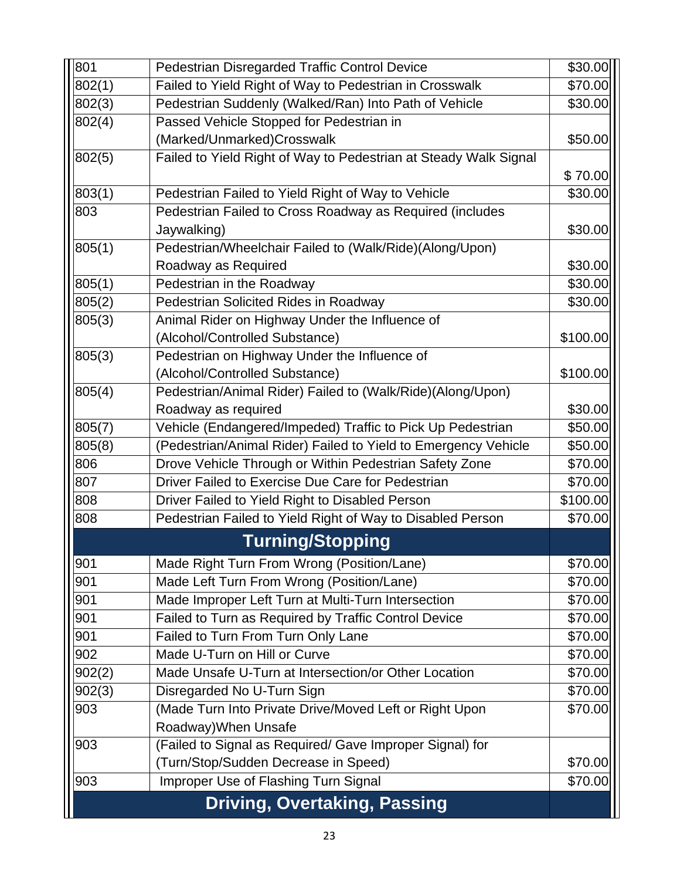| 801    | Pedestrian Disregarded Traffic Control Device                    | \$30.00  |
|--------|------------------------------------------------------------------|----------|
| 802(1) | Failed to Yield Right of Way to Pedestrian in Crosswalk          | \$70.00  |
| 802(3) | Pedestrian Suddenly (Walked/Ran) Into Path of Vehicle            | \$30.00  |
| 802(4) | Passed Vehicle Stopped for Pedestrian in                         |          |
|        | (Marked/Unmarked)Crosswalk                                       | \$50.00  |
| 802(5) | Failed to Yield Right of Way to Pedestrian at Steady Walk Signal |          |
|        |                                                                  | \$70.00  |
| 803(1) | Pedestrian Failed to Yield Right of Way to Vehicle               | \$30.00  |
| 803    | Pedestrian Failed to Cross Roadway as Required (includes         |          |
|        | Jaywalking)                                                      | \$30.00  |
| 805(1) | Pedestrian/Wheelchair Failed to (Walk/Ride)(Along/Upon)          |          |
|        | Roadway as Required                                              | \$30.00  |
| 805(1) | Pedestrian in the Roadway                                        | \$30.00  |
| 805(2) | Pedestrian Solicited Rides in Roadway                            | \$30.00  |
| 805(3) | Animal Rider on Highway Under the Influence of                   |          |
|        | (Alcohol/Controlled Substance)                                   | \$100.00 |
| 805(3) | Pedestrian on Highway Under the Influence of                     |          |
|        | (Alcohol/Controlled Substance)                                   | \$100.00 |
| 805(4) | Pedestrian/Animal Rider) Failed to (Walk/Ride)(Along/Upon)       |          |
|        | Roadway as required                                              | \$30.00  |
| 805(7) | Vehicle (Endangered/Impeded) Traffic to Pick Up Pedestrian       | \$50.00  |
| 805(8) | (Pedestrian/Animal Rider) Failed to Yield to Emergency Vehicle   | \$50.00  |
| 806    | Drove Vehicle Through or Within Pedestrian Safety Zone           | \$70.00  |
| 807    | Driver Failed to Exercise Due Care for Pedestrian                | \$70.00  |
| 808    | Driver Failed to Yield Right to Disabled Person                  | \$100.00 |
| 808    | Pedestrian Failed to Yield Right of Way to Disabled Person       | \$70.00  |
|        | <b>Turning/Stopping</b>                                          |          |
| 901    | Made Right Turn From Wrong (Position/Lane)                       | \$70.00  |
| 901    | Made Left Turn From Wrong (Position/Lane)                        | \$70.00  |
| 901    | Made Improper Left Turn at Multi-Turn Intersection               | \$70.00  |
| 901    | Failed to Turn as Required by Traffic Control Device             | \$70.00  |
| 901    | Failed to Turn From Turn Only Lane                               | \$70.00  |
| 902    | Made U-Turn on Hill or Curve                                     | \$70.00  |
| 902(2) | Made Unsafe U-Turn at Intersection/or Other Location             | \$70.00  |
| 902(3) | Disregarded No U-Turn Sign                                       | \$70.00  |
| 903    | (Made Turn Into Private Drive/Moved Left or Right Upon           | \$70.00  |
|        | Roadway) When Unsafe                                             |          |
| 903    | (Failed to Signal as Required/ Gave Improper Signal) for         |          |
|        | (Turn/Stop/Sudden Decrease in Speed)                             | \$70.00  |
| 903    | Improper Use of Flashing Turn Signal                             | \$70.00  |
|        | <b>Driving, Overtaking, Passing</b>                              |          |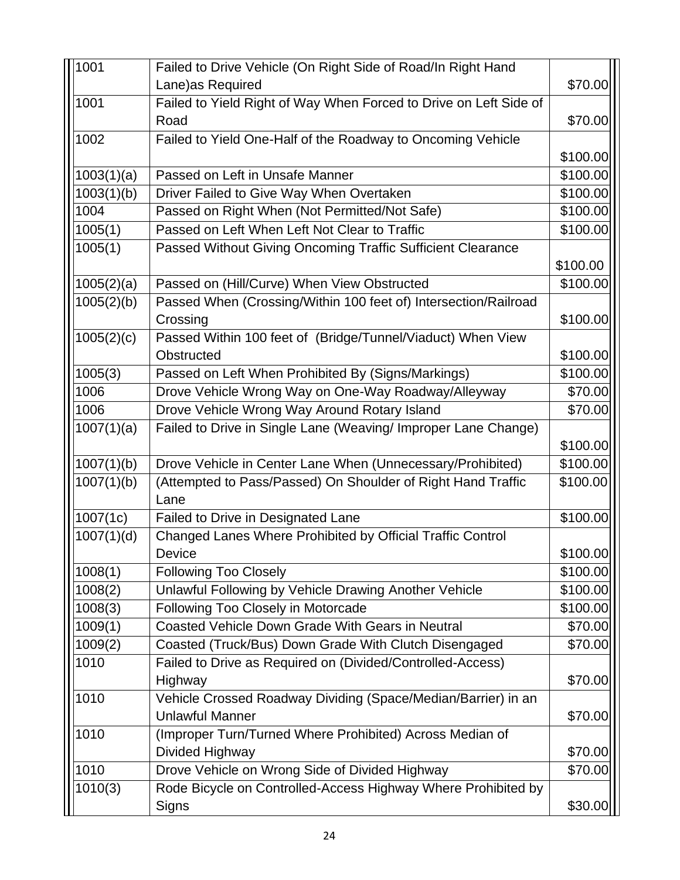| 1001       | Failed to Drive Vehicle (On Right Side of Road/In Right Hand      |           |
|------------|-------------------------------------------------------------------|-----------|
|            | Lane)as Required                                                  | \$70.00   |
| 1001       | Failed to Yield Right of Way When Forced to Drive on Left Side of |           |
|            | Road                                                              | \$70.00   |
| 1002       | Failed to Yield One-Half of the Roadway to Oncoming Vehicle       |           |
|            |                                                                   | \$100.00  |
| 1003(1)(a) | Passed on Left in Unsafe Manner                                   | \$100.00  |
| 1003(1)(b) | Driver Failed to Give Way When Overtaken                          | \$100.00  |
| 1004       | Passed on Right When (Not Permitted/Not Safe)                     | \$100.00  |
| 1005(1)    | Passed on Left When Left Not Clear to Traffic                     | \$100.00  |
| 1005(1)    | Passed Without Giving Oncoming Traffic Sufficient Clearance       |           |
|            |                                                                   | \$100.00  |
| 1005(2)(a) | Passed on (Hill/Curve) When View Obstructed                       | \$100.00  |
| 1005(2)(b) | Passed When (Crossing/Within 100 feet of) Intersection/Railroad   |           |
|            | Crossing                                                          | \$100.00  |
| 1005(2)(c) | Passed Within 100 feet of (Bridge/Tunnel/Viaduct) When View       |           |
|            | Obstructed                                                        | \$100.00  |
| 1005(3)    | Passed on Left When Prohibited By (Signs/Markings)                | \$100.00  |
| 1006       | Drove Vehicle Wrong Way on One-Way Roadway/Alleyway               | \$70.00   |
| 1006       | Drove Vehicle Wrong Way Around Rotary Island                      | \$70.00   |
| 1007(1)(a) | Failed to Drive in Single Lane (Weaving/ Improper Lane Change)    |           |
|            |                                                                   | \$100.00  |
| 1007(1)(b) | Drove Vehicle in Center Lane When (Unnecessary/Prohibited)        | \$100.00  |
| 1007(1)(b) | (Attempted to Pass/Passed) On Shoulder of Right Hand Traffic      | \$100.00  |
|            | Lane                                                              |           |
| 1007(1c)   | Failed to Drive in Designated Lane                                | \$100.00  |
| 1007(1)(d) | Changed Lanes Where Prohibited by Official Traffic Control        |           |
|            | Device                                                            | \$100.00] |
| 1008(1)    | <b>Following Too Closely</b>                                      | \$100.00  |
| 1008(2)    | Unlawful Following by Vehicle Drawing Another Vehicle             | \$100.00  |
| 1008(3)    | Following Too Closely in Motorcade                                | \$100.00  |
| 1009(1)    | Coasted Vehicle Down Grade With Gears in Neutral                  | \$70.00   |
| 1009(2)    | Coasted (Truck/Bus) Down Grade With Clutch Disengaged             | \$70.00   |
| 1010       | Failed to Drive as Required on (Divided/Controlled-Access)        |           |
|            | Highway                                                           | \$70.00   |
| 1010       | Vehicle Crossed Roadway Dividing (Space/Median/Barrier) in an     |           |
|            | <b>Unlawful Manner</b>                                            | \$70.00   |
| 1010       | (Improper Turn/Turned Where Prohibited) Across Median of          |           |
|            | Divided Highway                                                   | \$70.00   |
| 1010       | Drove Vehicle on Wrong Side of Divided Highway                    | \$70.00   |
| 1010(3)    | Rode Bicycle on Controlled-Access Highway Where Prohibited by     |           |
|            | Signs                                                             | \$30.00   |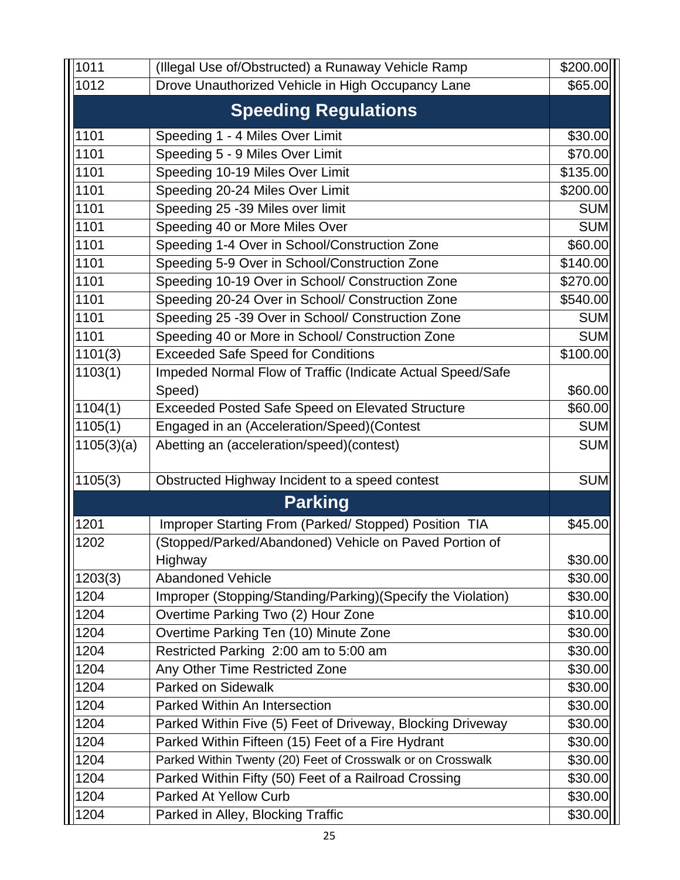| 1011                        | (Illegal Use of/Obstructed) a Runaway Vehicle Ramp          | \$200.00   |
|-----------------------------|-------------------------------------------------------------|------------|
| 1012                        | Drove Unauthorized Vehicle in High Occupancy Lane           | \$65.00    |
| <b>Speeding Regulations</b> |                                                             |            |
| 1101                        | Speeding 1 - 4 Miles Over Limit                             | \$30.00    |
| 1101                        | Speeding 5 - 9 Miles Over Limit                             | \$70.00    |
| 1101                        | Speeding 10-19 Miles Over Limit                             | \$135.00   |
| 1101                        | Speeding 20-24 Miles Over Limit                             | \$200.00   |
| 1101                        | Speeding 25 -39 Miles over limit                            | <b>SUM</b> |
| 1101                        | Speeding 40 or More Miles Over                              | <b>SUM</b> |
| 1101                        | Speeding 1-4 Over in School/Construction Zone               | \$60.00    |
| 1101                        | Speeding 5-9 Over in School/Construction Zone               | \$140.00   |
| 1101                        | Speeding 10-19 Over in School/ Construction Zone            | \$270.00   |
| 1101                        | Speeding 20-24 Over in School/ Construction Zone            | \$540.00   |
| 1101                        | Speeding 25 -39 Over in School/ Construction Zone           | <b>SUM</b> |
| 1101                        | Speeding 40 or More in School/ Construction Zone            | <b>SUM</b> |
| 1101(3)                     | <b>Exceeded Safe Speed for Conditions</b>                   | \$100.00   |
| 1103(1)                     | Impeded Normal Flow of Traffic (Indicate Actual Speed/Safe  |            |
|                             | Speed)                                                      | \$60.00    |
| 1104(1)                     | <b>Exceeded Posted Safe Speed on Elevated Structure</b>     | \$60.00    |
| 1105(1)                     | Engaged in an (Acceleration/Speed)(Contest                  | <b>SUM</b> |
| 1105(3)(a)                  | Abetting an (acceleration/speed)(contest)                   | <b>SUM</b> |
| 1105(3)                     | Obstructed Highway Incident to a speed contest              | <b>SUM</b> |
|                             | <b>Parking</b>                                              |            |
| 1201                        | Improper Starting From (Parked/Stopped) Position TIA        | \$45.00    |
| 1202                        | (Stopped/Parked/Abandoned) Vehicle on Paved Portion of      |            |
|                             | Highway                                                     | \$30.00    |
| 1203(3)                     | <b>Abandoned Vehicle</b>                                    | \$30.00    |
| 1204                        | Improper (Stopping/Standing/Parking)(Specify the Violation) | \$30.00    |
| 1204                        | Overtime Parking Two (2) Hour Zone                          | \$10.00    |
| 1204                        | Overtime Parking Ten (10) Minute Zone                       | \$30.00    |
| 1204                        | Restricted Parking 2:00 am to 5:00 am                       | \$30.00    |
| 1204                        | Any Other Time Restricted Zone                              | \$30.00    |
| 1204                        | <b>Parked on Sidewalk</b>                                   | \$30.00    |
| 1204                        | Parked Within An Intersection                               | \$30.00    |
| 1204                        | Parked Within Five (5) Feet of Driveway, Blocking Driveway  | \$30.00    |
| 1204                        | Parked Within Fifteen (15) Feet of a Fire Hydrant           | \$30.00    |
| 1204                        | Parked Within Twenty (20) Feet of Crosswalk or on Crosswalk | \$30.00    |
| 1204                        | Parked Within Fifty (50) Feet of a Railroad Crossing        | \$30.00    |
| 1204                        | <b>Parked At Yellow Curb</b>                                | \$30.00    |
| 1204                        | Parked in Alley, Blocking Traffic                           | \$30.00    |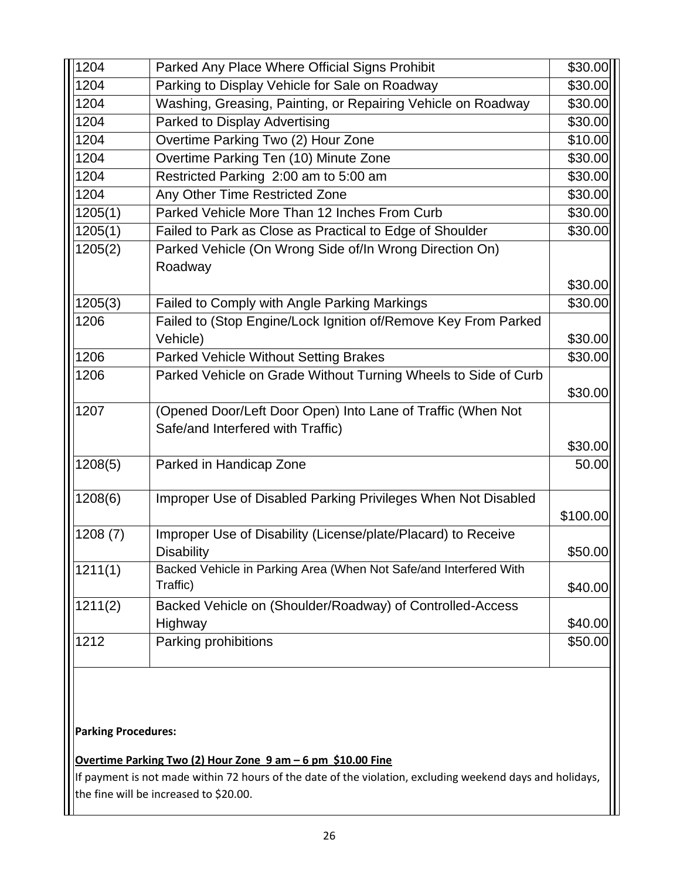| 1204                                                                                      | Parked Any Place Where Official Signs Prohibit                                                   | \$30.00  |  |
|-------------------------------------------------------------------------------------------|--------------------------------------------------------------------------------------------------|----------|--|
| 1204                                                                                      | Parking to Display Vehicle for Sale on Roadway                                                   | \$30.00  |  |
| 1204                                                                                      | Washing, Greasing, Painting, or Repairing Vehicle on Roadway                                     | \$30.00  |  |
| 1204                                                                                      | Parked to Display Advertising                                                                    | \$30.00  |  |
| 1204                                                                                      | Overtime Parking Two (2) Hour Zone                                                               | \$10.00  |  |
| 1204                                                                                      | Overtime Parking Ten (10) Minute Zone                                                            | \$30.00  |  |
| 1204                                                                                      | Restricted Parking 2:00 am to 5:00 am                                                            | \$30.00  |  |
| 1204                                                                                      | Any Other Time Restricted Zone                                                                   | \$30.00  |  |
| 1205(1)                                                                                   | Parked Vehicle More Than 12 Inches From Curb                                                     | \$30.00  |  |
| 1205(1)                                                                                   | Failed to Park as Close as Practical to Edge of Shoulder                                         | \$30.00  |  |
| 1205(2)                                                                                   | Parked Vehicle (On Wrong Side of/In Wrong Direction On)<br>Roadway                               |          |  |
|                                                                                           |                                                                                                  | \$30.00  |  |
| 1205(3)                                                                                   | Failed to Comply with Angle Parking Markings                                                     | \$30.00  |  |
| 1206                                                                                      | Failed to (Stop Engine/Lock Ignition of/Remove Key From Parked                                   |          |  |
|                                                                                           | Vehicle)                                                                                         | \$30.00  |  |
| 1206                                                                                      | Parked Vehicle Without Setting Brakes                                                            | \$30.00  |  |
| 1206                                                                                      | Parked Vehicle on Grade Without Turning Wheels to Side of Curb                                   | \$30.00  |  |
| 1207                                                                                      | (Opened Door/Left Door Open) Into Lane of Traffic (When Not<br>Safe/and Interfered with Traffic) |          |  |
|                                                                                           |                                                                                                  | \$30.00  |  |
| 1208(5)                                                                                   | Parked in Handicap Zone                                                                          | 50.00    |  |
| 1208(6)                                                                                   | Improper Use of Disabled Parking Privileges When Not Disabled                                    | \$100.00 |  |
| 1208(7)                                                                                   | Improper Use of Disability (License/plate/Placard) to Receive<br><b>Disability</b>               | \$50.00  |  |
| 1211(1)                                                                                   | Backed Vehicle in Parking Area (When Not Safe/and Interfered With<br>Traffic)                    | \$40.00  |  |
| 1211(2)                                                                                   | Backed Vehicle on (Shoulder/Roadway) of Controlled-Access<br>Highway                             | \$40.00  |  |
| 1212                                                                                      | Parking prohibitions                                                                             | \$50.00  |  |
| <b>Parking Procedures:</b><br>Overtime Parking Two (2) Hour Zone 9 am - 6 pm \$10.00 Fine |                                                                                                  |          |  |

 $\vert$ If payment is not made within 72 hours of the date of the violation, excluding weekend days and holidays, the fine will be increased to \$20.00.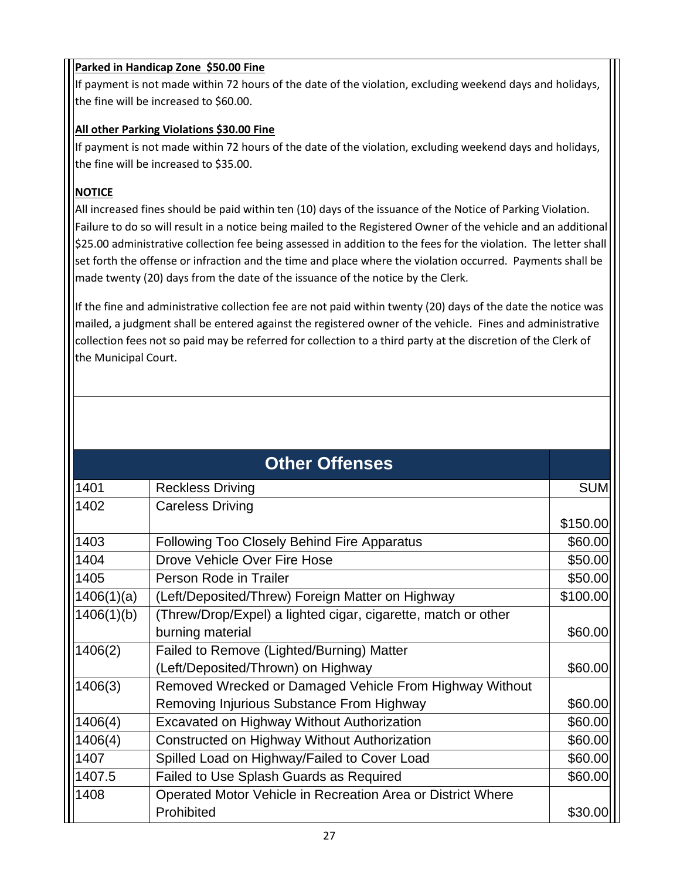#### **Parked in Handicap Zone \$50.00 Fine**

If payment is not made within 72 hours of the date of the violation, excluding weekend days and holidays, the fine will be increased to \$60.00.

#### **All other Parking Violations \$30.00 Fine**

If payment is not made within 72 hours of the date of the violation, excluding weekend days and holidays, the fine will be increased to \$35.00.

#### **NOTICE**

All increased fines should be paid within ten (10) days of the issuance of the Notice of Parking Violation. Failure to do so will result in a notice being mailed to the Registered Owner of the vehicle and an additional \$25.00 administrative collection fee being assessed in addition to the fees for the violation. The letter shall set forth the offense or infraction and the time and place where the violation occurred. Payments shall be made twenty (20) days from the date of the issuance of the notice by the Clerk.

If the fine and administrative collection fee are not paid within twenty (20) days of the date the notice was mailed, a judgment shall be entered against the registered owner of the vehicle. Fines and administrative collection fees not so paid may be referred for collection to a third party at the discretion of the Clerk of the Municipal Court.

|            | <b>Other Offenses</b>                                         |            |  |
|------------|---------------------------------------------------------------|------------|--|
| 1401       | <b>Reckless Driving</b>                                       | <b>SUM</b> |  |
| 1402       | <b>Careless Driving</b>                                       |            |  |
|            |                                                               | \$150.00   |  |
| 1403       | <b>Following Too Closely Behind Fire Apparatus</b>            | \$60.00    |  |
| 1404       | Drove Vehicle Over Fire Hose                                  | \$50.00    |  |
| 1405       | Person Rode in Trailer                                        | \$50.00    |  |
| 1406(1)(a) | (Left/Deposited/Threw) Foreign Matter on Highway              | \$100.00   |  |
| 1406(1)(b) | (Threw/Drop/Expel) a lighted cigar, cigarette, match or other |            |  |
|            | burning material                                              | \$60.00    |  |
| 1406(2)    | Failed to Remove (Lighted/Burning) Matter                     |            |  |
|            | (Left/Deposited/Thrown) on Highway                            | \$60.00    |  |
| 1406(3)    | Removed Wrecked or Damaged Vehicle From Highway Without       |            |  |
|            | Removing Injurious Substance From Highway                     | \$60.00    |  |
| 1406(4)    | <b>Excavated on Highway Without Authorization</b>             | \$60.00    |  |
| 1406(4)    | Constructed on Highway Without Authorization                  | \$60.00    |  |
| 1407       | Spilled Load on Highway/Failed to Cover Load                  | \$60.00    |  |
| 1407.5     | Failed to Use Splash Guards as Required                       | \$60.00    |  |
| 1408       | Operated Motor Vehicle in Recreation Area or District Where   |            |  |
|            | Prohibited                                                    | \$30.00    |  |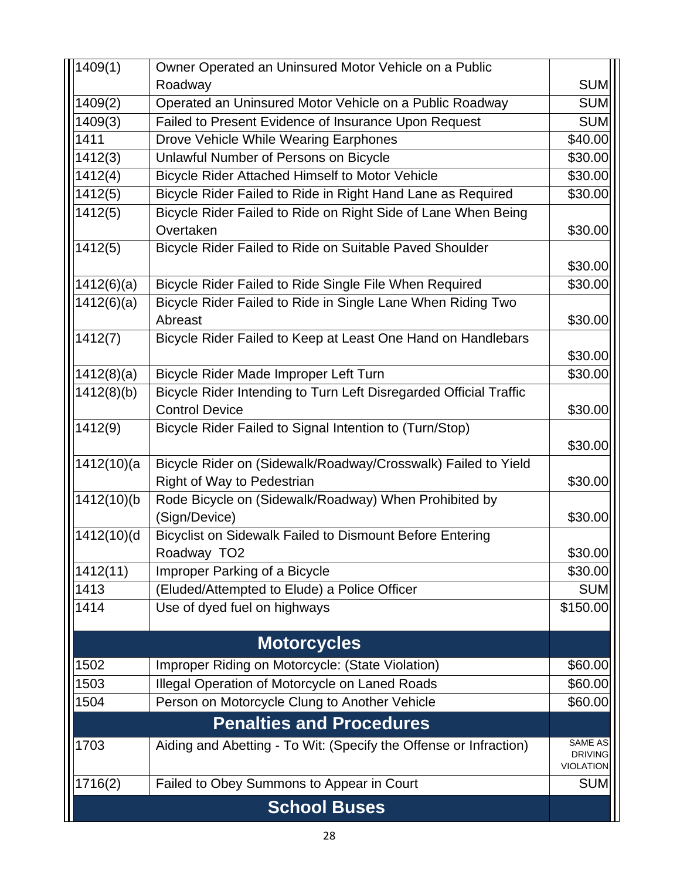| <b>SUM</b><br>Roadway<br><b>SUM</b><br>1409(2)<br>Operated an Uninsured Motor Vehicle on a Public Roadway<br><b>SUM</b><br>1409(3)<br>Failed to Present Evidence of Insurance Upon Request<br>\$40.00<br>1411<br>Drove Vehicle While Wearing Earphones<br>\$30.00<br>1412(3)<br>Unlawful Number of Persons on Bicycle<br>1412(4)<br>Bicycle Rider Attached Himself to Motor Vehicle<br>\$30.00<br>1412(5)<br>Bicycle Rider Failed to Ride in Right Hand Lane as Required<br>\$30.00<br>Bicycle Rider Failed to Ride on Right Side of Lane When Being<br>1412(5)<br>\$30.00<br>Overtaken<br>1412(5)<br>Bicycle Rider Failed to Ride on Suitable Paved Shoulder<br>\$30.00<br>1412(6)(a)<br>Bicycle Rider Failed to Ride Single File When Required<br>\$30.00<br>Bicycle Rider Failed to Ride in Single Lane When Riding Two<br>1412(6)(a) |
|------------------------------------------------------------------------------------------------------------------------------------------------------------------------------------------------------------------------------------------------------------------------------------------------------------------------------------------------------------------------------------------------------------------------------------------------------------------------------------------------------------------------------------------------------------------------------------------------------------------------------------------------------------------------------------------------------------------------------------------------------------------------------------------------------------------------------------------|
|                                                                                                                                                                                                                                                                                                                                                                                                                                                                                                                                                                                                                                                                                                                                                                                                                                          |
|                                                                                                                                                                                                                                                                                                                                                                                                                                                                                                                                                                                                                                                                                                                                                                                                                                          |
|                                                                                                                                                                                                                                                                                                                                                                                                                                                                                                                                                                                                                                                                                                                                                                                                                                          |
|                                                                                                                                                                                                                                                                                                                                                                                                                                                                                                                                                                                                                                                                                                                                                                                                                                          |
|                                                                                                                                                                                                                                                                                                                                                                                                                                                                                                                                                                                                                                                                                                                                                                                                                                          |
|                                                                                                                                                                                                                                                                                                                                                                                                                                                                                                                                                                                                                                                                                                                                                                                                                                          |
|                                                                                                                                                                                                                                                                                                                                                                                                                                                                                                                                                                                                                                                                                                                                                                                                                                          |
|                                                                                                                                                                                                                                                                                                                                                                                                                                                                                                                                                                                                                                                                                                                                                                                                                                          |
|                                                                                                                                                                                                                                                                                                                                                                                                                                                                                                                                                                                                                                                                                                                                                                                                                                          |
|                                                                                                                                                                                                                                                                                                                                                                                                                                                                                                                                                                                                                                                                                                                                                                                                                                          |
|                                                                                                                                                                                                                                                                                                                                                                                                                                                                                                                                                                                                                                                                                                                                                                                                                                          |
|                                                                                                                                                                                                                                                                                                                                                                                                                                                                                                                                                                                                                                                                                                                                                                                                                                          |
|                                                                                                                                                                                                                                                                                                                                                                                                                                                                                                                                                                                                                                                                                                                                                                                                                                          |
| Abreast<br>\$30.00                                                                                                                                                                                                                                                                                                                                                                                                                                                                                                                                                                                                                                                                                                                                                                                                                       |
| Bicycle Rider Failed to Keep at Least One Hand on Handlebars<br>1412(7)                                                                                                                                                                                                                                                                                                                                                                                                                                                                                                                                                                                                                                                                                                                                                                  |
| \$30.00                                                                                                                                                                                                                                                                                                                                                                                                                                                                                                                                                                                                                                                                                                                                                                                                                                  |
| 1412(8)(a)<br>Bicycle Rider Made Improper Left Turn<br>\$30.00                                                                                                                                                                                                                                                                                                                                                                                                                                                                                                                                                                                                                                                                                                                                                                           |
| Bicycle Rider Intending to Turn Left Disregarded Official Traffic<br>1412(8)(b)                                                                                                                                                                                                                                                                                                                                                                                                                                                                                                                                                                                                                                                                                                                                                          |
| <b>Control Device</b><br>\$30.00                                                                                                                                                                                                                                                                                                                                                                                                                                                                                                                                                                                                                                                                                                                                                                                                         |
| 1412(9)<br>Bicycle Rider Failed to Signal Intention to (Turn/Stop)                                                                                                                                                                                                                                                                                                                                                                                                                                                                                                                                                                                                                                                                                                                                                                       |
| \$30.00                                                                                                                                                                                                                                                                                                                                                                                                                                                                                                                                                                                                                                                                                                                                                                                                                                  |
| $1412(10)$ (a<br>Bicycle Rider on (Sidewalk/Roadway/Crosswalk) Failed to Yield                                                                                                                                                                                                                                                                                                                                                                                                                                                                                                                                                                                                                                                                                                                                                           |
| Right of Way to Pedestrian<br>\$30.00                                                                                                                                                                                                                                                                                                                                                                                                                                                                                                                                                                                                                                                                                                                                                                                                    |
| 1412(10)(b<br>Rode Bicycle on (Sidewalk/Roadway) When Prohibited by                                                                                                                                                                                                                                                                                                                                                                                                                                                                                                                                                                                                                                                                                                                                                                      |
| (Sign/Device)<br>\$30.00                                                                                                                                                                                                                                                                                                                                                                                                                                                                                                                                                                                                                                                                                                                                                                                                                 |
| 1412(10)(d<br>Bicyclist on Sidewalk Failed to Dismount Before Entering                                                                                                                                                                                                                                                                                                                                                                                                                                                                                                                                                                                                                                                                                                                                                                   |
| \$30.00<br>Roadway TO <sub>2</sub>                                                                                                                                                                                                                                                                                                                                                                                                                                                                                                                                                                                                                                                                                                                                                                                                       |
| 1412(11)<br>Improper Parking of a Bicycle<br>\$30.00                                                                                                                                                                                                                                                                                                                                                                                                                                                                                                                                                                                                                                                                                                                                                                                     |
| (Eluded/Attempted to Elude) a Police Officer<br><b>SUM</b><br>1413<br>Use of dyed fuel on highways<br>\$150.00<br>1414                                                                                                                                                                                                                                                                                                                                                                                                                                                                                                                                                                                                                                                                                                                   |
|                                                                                                                                                                                                                                                                                                                                                                                                                                                                                                                                                                                                                                                                                                                                                                                                                                          |
| <b>Motorcycles</b>                                                                                                                                                                                                                                                                                                                                                                                                                                                                                                                                                                                                                                                                                                                                                                                                                       |
| Improper Riding on Motorcycle: (State Violation)<br>\$60.00<br>1502                                                                                                                                                                                                                                                                                                                                                                                                                                                                                                                                                                                                                                                                                                                                                                      |
| Illegal Operation of Motorcycle on Laned Roads<br>1503<br>\$60.00                                                                                                                                                                                                                                                                                                                                                                                                                                                                                                                                                                                                                                                                                                                                                                        |
| Person on Motorcycle Clung to Another Vehicle<br>1504<br>\$60.00                                                                                                                                                                                                                                                                                                                                                                                                                                                                                                                                                                                                                                                                                                                                                                         |
| <b>Penalties and Procedures</b>                                                                                                                                                                                                                                                                                                                                                                                                                                                                                                                                                                                                                                                                                                                                                                                                          |
| SAME AS<br>Aiding and Abetting - To Wit: (Specify the Offense or Infraction)<br>1703                                                                                                                                                                                                                                                                                                                                                                                                                                                                                                                                                                                                                                                                                                                                                     |
| <b>DRIVING</b><br><b>VIOLATION</b>                                                                                                                                                                                                                                                                                                                                                                                                                                                                                                                                                                                                                                                                                                                                                                                                       |
| 1716(2)<br>Failed to Obey Summons to Appear in Court<br><b>SUM</b>                                                                                                                                                                                                                                                                                                                                                                                                                                                                                                                                                                                                                                                                                                                                                                       |
| <b>School Buses</b>                                                                                                                                                                                                                                                                                                                                                                                                                                                                                                                                                                                                                                                                                                                                                                                                                      |